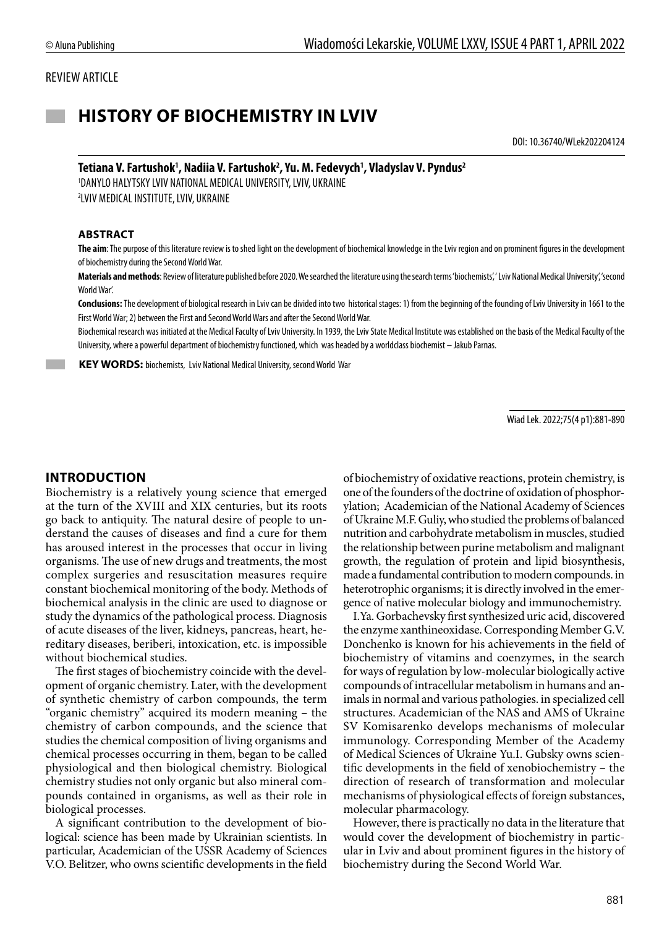#### REVIEW ARTICLE

# **HISTORY OF BIOCHEMISTRY IN LVIV**

DOI: 10.36740/WLek202204124

#### Tetiana V. Fartushok<sup>1</sup>, Nadiia V. Fartushok<sup>2</sup>, Yu. M. Fedevych<sup>1</sup>, Vladyslav V. Pyndus<sup>2</sup>

1 DANYLO HALYTSKY LVIV NATIONAL MEDICAL UNIVERSITY, LVIV, UKRAINE 2 LVIV MEDICAL INSTITUTE, LVIV, UKRAINE

#### **ABSTRACT**

**The aim**: The purpose of this literature review is to shed light on the development of biochemical knowledge in the Lviv region and on prominent figures in the development of biochemistry during the Second World War.

**Materials and methods**: Review of literature published before 2020. We searched the literature using the search terms 'biochemists', ' Lviv National Medical University', 'second World War'.

**Conclusions:** The development of biological research in Lviv can be divided into two historical stages: 1) from the beginning of the founding of Lviv University in 1661 to the First World War; 2) between the First and Second World Wars and after the Second World War.

Biochemical research was initiated at the Medical Faculty of Lviv University. In 1939, the Lviv State Medical Institute was established on the basis of the Medical Faculty of the University, where a powerful department of biochemistry functioned, which was headed by a worldclass biochemist – Jakub Parnas.

 **KEY WORDS:** biochemists, Lviv National Medical University, second World War

Wiad Lek. 2022;75(4 p1):881-890

## **INTRODUCTION**

Biochemistry is a relatively young science that emerged at the turn of the XVIII and XIX centuries, but its roots go back to antiquity. The natural desire of people to understand the causes of diseases and find a cure for them has aroused interest in the processes that occur in living organisms. The use of new drugs and treatments, the most complex surgeries and resuscitation measures require constant biochemical monitoring of the body. Methods of biochemical analysis in the clinic are used to diagnose or study the dynamics of the pathological process. Diagnosis of acute diseases of the liver, kidneys, pancreas, heart, hereditary diseases, beriberi, intoxication, etc. is impossible without biochemical studies.

The first stages of biochemistry coincide with the development of organic chemistry. Later, with the development of synthetic chemistry of carbon compounds, the term "organic chemistry" acquired its modern meaning – the chemistry of carbon compounds, and the science that studies the chemical composition of living organisms and chemical processes occurring in them, began to be called physiological and then biological chemistry. Biological chemistry studies not only organic but also mineral compounds contained in organisms, as well as their role in biological processes.

A significant contribution to the development of biological: science has been made by Ukrainian scientists. In particular, Academician of the USSR Academy of Sciences V.O. Belitzer, who owns scientific developments in the field of biochemistry of oxidative reactions, protein chemistry, is one of the founders of the doctrine of oxidation of phosphorylation; Academician of the National Academy of Sciences of Ukraine M.F. Guliy, who studied the problems of balanced nutrition and carbohydrate metabolism in muscles, studied the relationship between purine metabolism and malignant growth, the regulation of protein and lipid biosynthesis, made a fundamental contribution to modern compounds. in heterotrophic organisms; it is directly involved in the emergence of native molecular biology and immunochemistry.

I.Ya. Gorbachevsky first synthesized uric acid, discovered the enzyme xanthineoxidase. Corresponding Member G.V. Donchenko is known for his achievements in the field of biochemistry of vitamins and coenzymes, in the search for ways of regulation by low-molecular biologically active compounds of intracellular metabolism in humans and animals in normal and various pathologies. in specialized cell structures. Academician of the NAS and AMS of Ukraine SV Komisarenko develops mechanisms of molecular immunology. Corresponding Member of the Academy of Medical Sciences of Ukraine Yu.I. Gubsky owns scientific developments in the field of xenobiochemistry – the direction of research of transformation and molecular mechanisms of physiological effects of foreign substances, molecular pharmacology.

However, there is practically no data in the literature that would cover the development of biochemistry in particular in Lviv and about prominent figures in the history of biochemistry during the Second World War.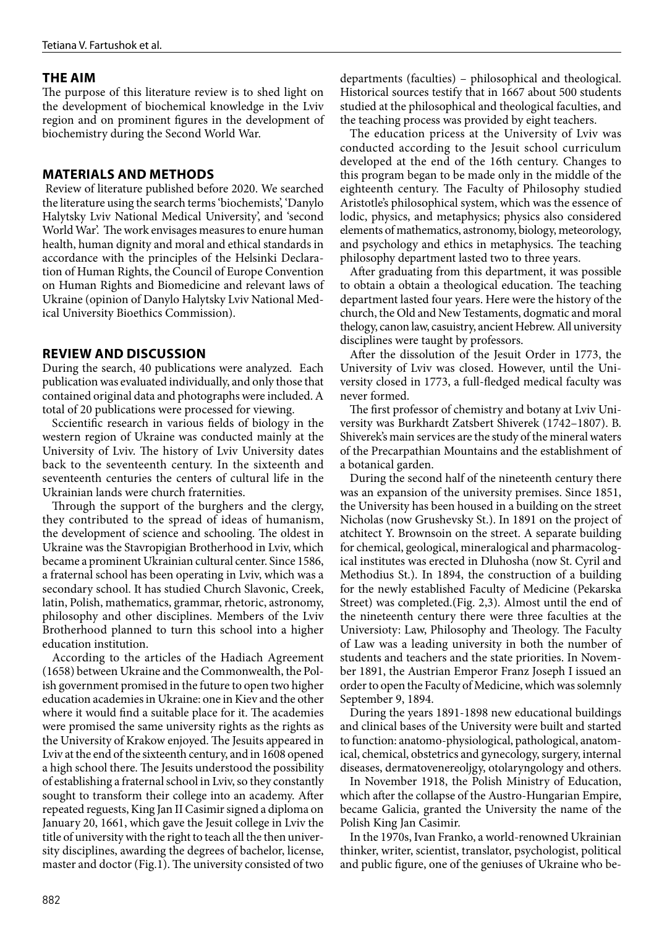## **THE AIM**

The purpose of this literature review is to shed light on the development of biochemical knowledge in the Lviv region and on prominent figures in the development of biochemistry during the Second World War.

### **MATERIALS AND METHODS**

Review of literature published before 2020. We searched the literature using the search terms 'biochemists', 'Danylo Halytsky Lviv National Medical University', and 'second World War'. The work envisages measures to enure human health, human dignity and moral and ethical standards in accordance with the principles of the Helsinki Declaration of Human Rights, the Council of Europe Convention on Human Rights and Biomedicine and relevant laws of Ukraine (opinion of Danylo Halytsky Lviv National Medical University Bioethics Commission).

### **REVIEW AND DISCUSSION**

During the search, 40 publications were analyzed. Each publication was evaluated individually, and only those that contained original data and photographs were included. A total of 20 publications were processed for viewing.

Sccientific research in various fields of biology in the western region of Ukraine was conducted mainly at the University of Lviv. The history of Lviv University dates back to the seventeenth century. In the sixteenth and seventeenth centuries the centers of cultural life in the Ukrainian lands were church fraternities.

Through the support of the burghers and the clergy, they contributed to the spread of ideas of humanism, the development of science and schooling. The oldest in Ukraine was the Stavropigian Brotherhood in Lviv, which became a prominent Ukrainian cultural center. Since 1586, a fraternal school has been operating in Lviv, which was a secondary school. It has studied Church Slavonic, Creek, latin, Polish, mathematics, grammar, rhetoric, astronomy, philosophy and other disciplines. Members of the Lviv Brotherhood planned to turn this school into a higher education institution.

According to the articles of the Hadiach Agreement (1658) between Ukraine and the Commonwealth, the Polish government promised in the future to open two higher education academies in Ukraine: one in Kiev and the other where it would find a suitable place for it. The academies were promised the same university rights as the rights as the University of Krakow enjoyed. The Jesuits appeared in Lviv at the end of the sixteenth century, and in 1608 opened a high school there. The Jesuits understood the possibility of establishing a fraternal school in Lviv, so they constantly sought to transform their college into an academy. After repeated reguests, King Jan II Casimir signed a diploma on January 20, 1661, which gave the Jesuit college in Lviv the title of university with the right to teach all the then university disciplines, awarding the degrees of bachelor, license, master and doctor (Fig.1). The university consisted of two departments (faculties) – philosophical and theological. Historical sources testify that in 1667 about 500 students studied at the philosophical and theological faculties, and the teaching process was provided by eight teachers.

The education pricess at the University of Lviv was conducted according to the Jesuit school curriculum developed at the end of the 16th century. Changes to this program began to be made only in the middle of the eighteenth century. The Faculty of Philosophy studied Aristotle's philosophical system, which was the essence of lodic, physics, and metaphysics; physics also considered elements of mathematics, astronomy, biology, meteorology, and psychology and ethics in metaphysics. The teaching philosophy department lasted two to three years.

After graduating from this department, it was possible to obtain a obtain a theological education. The teaching department lasted four years. Here were the history of the church, the Old and New Testaments, dogmatic and moral thelogy, canon law, casuistry, ancient Hebrew. All university disciplines were taught by professors.

After the dissolution of the Jesuit Order in 1773, the University of Lviv was closed. However, until the University closed in 1773, a full-fledged medical faculty was never formed.

The first professor of chemistry and botany at Lviv University was Burkhardt Zatsbert Shiverek (1742–1807). B. Shiverek's main services are the study of the mineral waters of the Precarpathian Mountains and the establishment of a botanical garden.

During the second half of the nineteenth century there was an expansion of the university premises. Since 1851, the University has been housed in a building on the street Nicholas (now Grushevsky St.). In 1891 on the project of atchitect Y. Brownsoin on the street. A separate building for chemical, geological, mineralogical and pharmacological institutes was erected in Dluhosha (now St. Cyril and Methodius St.). In 1894, the construction of a building for the newly established Faculty of Medicine (Pekarska Street) was completed.(Fig. 2,3). Almost until the end of the nineteenth century there were three faculties at the Universioty: Law, Philosophy and Theology. The Faculty of Law was a leading university in both the number of students and teachers and the state priorities. In November 1891, the Austrian Emperor Franz Joseph I issued an order to open the Faculty of Medicine, which was solemnly September 9, 1894.

During the years 1891-1898 new educational buildings and clinical bases of the University were built and started to function: anatomo-physiological, pathological, anatomical, chemical, obstetrics and gynecology, surgery, internal diseases, dermatovenereoljgy, otolaryngology and others.

In November 1918, the Polish Ministry of Education, which after the collapse of the Austro-Hungarian Empire, became Galicia, granted the University the name of the Polish King Jan Casimir.

In the 1970s, Ivan Franko, a world-renowned Ukrainian thinker, writer, scientist, translator, psychologist, political and public figure, one of the geniuses of Ukraine who be-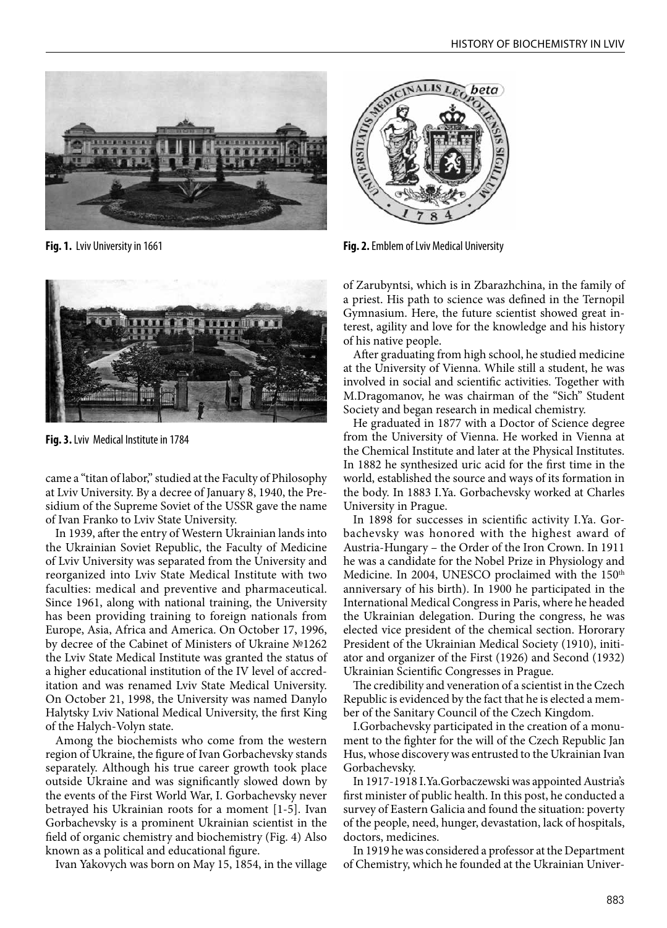

**Fig. 1.** Lviv University in 1661



**Fig. 3.** Lviv Medical Institute in 1784

came a "titan of labor," studied at the Faculty of Philosophy at Lviv University. By a decree of January 8, 1940, the Presidium of the Supreme Soviet of the USSR gave the name of Ivan Franko to Lviv State University.

In 1939, after the entry of Western Ukrainian lands into the Ukrainian Soviet Republic, the Faculty of Medicine of Lviv University was separated from the University and reorganized into Lviv State Medical Institute with two faculties: medical and preventive and pharmaceutical. Since 1961, along with national training, the University has been providing training to foreign nationals from Europe, Asia, Africa and America. On October 17, 1996, by decree of the Cabinet of Ministers of Ukraine №1262 the Lviv State Medical Institute was granted the status of a higher educational institution of the IV level of accreditation and was renamed Lviv State Medical University. On October 21, 1998, the University was named Danylo Halytsky Lviv National Medical University, the first King of the Halych-Volyn state.

Among the biochemists who come from the western region of Ukraine, the figure of Ivan Gorbachevsky stands separately. Although his true career growth took place outside Ukraine and was significantly slowed down by the events of the First World War, I. Gorbachevsky never betrayed his Ukrainian roots for a moment [1-5]. Ivan Gorbachevsky is a prominent Ukrainian scientist in the field of organic chemistry and biochemistry (Fig. 4) Also known as a political and educational figure.

Ivan Yakovych was born on May 15, 1854, in the village



**Fig. 2.** Emblem of Lviv Medical University

of Zarubyntsi, which is in Zbarazhchina, in the family of a priest. His path to science was defined in the Ternopil Gymnasium. Here, the future scientist showed great interest, agility and love for the knowledge and his history of his native people.

After graduating from high school, he studied medicine at the University of Vienna. While still a student, he was involved in social and scientific activities. Together with M.Dragomanov, he was chairman of the "Sich" Student Society and began research in medical chemistry.

He graduated in 1877 with a Doctor of Science degree from the University of Vienna. He worked in Vienna at the Chemical Institute and later at the Physical Institutes. In 1882 he synthesized uric acid for the first time in the world, established the source and ways of its formation in the body. In 1883 I.Ya. Gorbachevsky worked at Charles University in Prague.

In 1898 for successes in scientific activity I.Ya. Gorbachevsky was honored with the highest award of Austria-Hungary – the Order of the Iron Crown. In 1911 he was a candidate for the Nobel Prize in Physiology and Medicine. In 2004, UNESCO proclaimed with the 150<sup>th</sup> anniversary of his birth). In 1900 he participated in the International Medical Congress in Paris, where he headed the Ukrainian delegation. During the congress, he was elected vice president of the chemical section. Hororary President of the Ukrainian Medical Society (1910), initiator and organizer of the First (1926) and Second (1932) Ukrainian Scientific Congresses in Prague.

The credibility and veneration of a scientist in the Czech Republic is evidenced by the fact that he is elected a member of the Sanitary Council of the Czech Kingdom.

I.Gorbachevsky participated in the creation of a monument to the fighter for the will of the Czech Republic Jan Hus, whose discovery was entrusted to the Ukrainian Ivan Gorbachevsky.

In 1917-1918 I.Ya.Gorbaczewski was appointed Austria's first minister of public health. In this post, he conducted a survey of Eastern Galicia and found the situation: poverty of the people, need, hunger, devastation, lack of hospitals, doctors, medicines.

In 1919 he was considered a professor at the Department of Chemistry, which he founded at the Ukrainian Univer-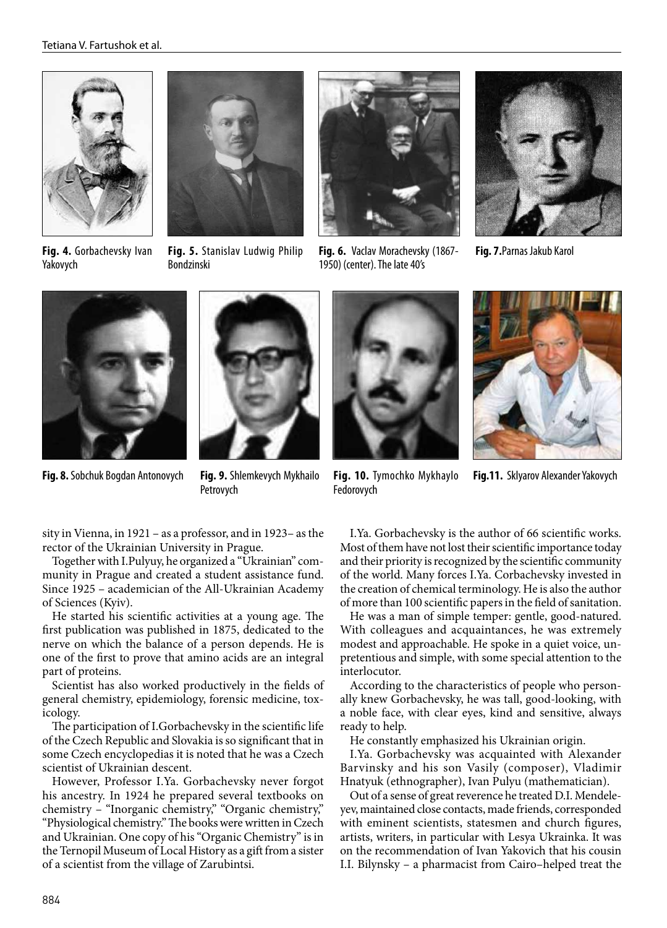





**Fig. 7.**Parnas Jakub Karol

**Fig. 4.** Gorbachevsky Ivan Yakovych

**Fig. 5.** Stanislav Ludwig Philip Bondzinski



**Fig. 8.** Sobchuk Bogdan Antonovych



**Fig. 9.** Shlemkevych Mykhailo Petrovych

sity in Vienna, in 1921 – as a professor, and in 1923– as the rector of the Ukrainian University in Prague.

Together with I.Pulyuy, he organized a "Ukrainian" community in Prague and created a student assistance fund. Since 1925 – academician of the All-Ukrainian Academy of Sciences (Kyiv).

He started his scientific activities at a young age. The first publication was published in 1875, dedicated to the nerve on which the balance of a person depends. He is one of the first to prove that amino acids are an integral part of proteins.

Scientist has also worked productively in the fields of general chemistry, epidemiology, forensic medicine, toxicology.

The participation of I.Gorbachevsky in the scientific life of the Czech Republic and Slovakia is so significant that in some Czech encyclopedias it is noted that he was a Czech scientist of Ukrainian descent.

However, Professor I.Ya. Gorbachevsky never forgot his ancestry. In 1924 he prepared several textbooks on chemistry – "Inorganic chemistry," "Organic chemistry," "Physiological chemistry." The books were written in Czech and Ukrainian. One copy of his "Organic Chemistry" is in the Ternopil Museum of Local History as a gift from a sister of a scientist from the village of Zarubintsi.

**Fig. 6.** Vaclav Morachevsky (1867- 1950) (center). The late 40's



**Fig. 10.** Tymochko Mykhaylo Fedorovych

**Fig.11.** Sklyarov Alexander Yakovych

I.Ya. Gorbachevsky is the author of 66 scientific works. Most of them have not lost their scientific importance today and their priority is recognized by the scientific community of the world. Many forces I.Ya. Corbachevsky invested in the creation of chemical terminology. He is also the author of more than 100 scientific papers in the field of sanitation.

He was a man of simple temper: gentle, good-natured. With colleagues and acquaintances, he was extremely modest and approachable. He spoke in a quiet voice, unpretentious and simple, with some special attention to the interlocutor.

According to the characteristics of people who personally knew Gorbachevsky, he was tall, good-looking, with a noble face, with clear eyes, kind and sensitive, always ready to help.

He constantly emphasized his Ukrainian origin.

I.Ya. Gorbachevsky was acquainted with Alexander Barvinsky and his son Vasily (composer), Vladimir Hnatyuk (ethnographer), Ivan Pulyu (mathematician).

Out of a sense of great reverence he treated D.I. Mendeleyev, maintained close contacts, made friends, corresponded with eminent scientists, statesmen and church figures, artists, writers, in particular with Lesya Ukrainka. It was on the recommendation of Ivan Yakovich that his cousin I.I. Bilynsky – a pharmacist from Cairo–helped treat the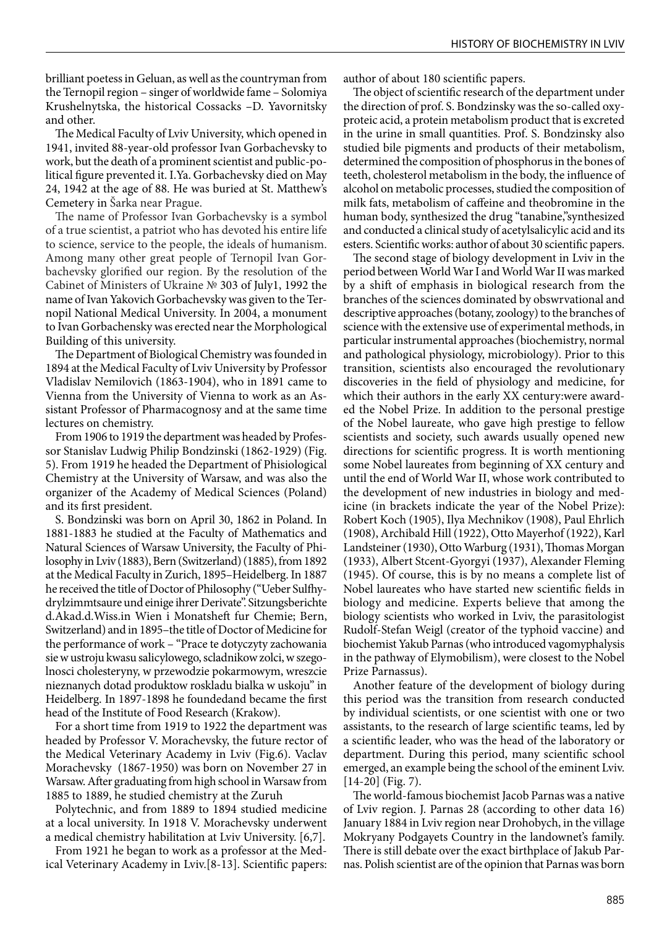brilliant poetess in Geluan, as well as the countryman from the Ternopil region – singer of worldwide fame – Solomiya Krushelnytska, the historical Cossacks –D. Yavornitsky and other.

The Medical Faculty of Lviv University, which opened in 1941, invited 88-year-old professor Ivan Gorbachevsky to work, but the death of a prominent scientist and public-political figure prevented it. I.Ya. Gorbachevsky died on May 24, 1942 at the age of 88. He was buried at St. Matthew's Cemetery in Šarka near Prague.

The name of Professor Ivan Gorbachevsky is a symbol of a true scientist, a patriot who has devoted his entire life to science, service to the people, the ideals of humanism. Among many other great people of Ternopil Ivan Gorbachevsky glorified our region. By the resolution of the Cabinet of Ministers of Ukraine № 303 of July1, 1992 the name of Ivan Yakovich Gorbachevsky was given to the Ternopil National Medical University. In 2004, a monument to Ivan Gorbachensky was erected near the Morphological Building of this university.

The Department of Biological Chemistry was founded in 1894 at the Medical Faculty of Lviv University by Professor Vladislav Nemilovich (1863-1904), who in 1891 came to Vienna from the University of Vienna to work as an Assistant Professor of Pharmacognosy and at the same time lectures on chemistry.

From 1906 to 1919 the department was headed by Professor Stanislav Ludwig Philip Bondzinski (1862-1929) (Fig. 5). From 1919 he headed the Department of Phisiological Chemistry at the University of Warsaw, and was also the organizer of the Academy of Medical Sciences (Poland) and its first president.

S. Bondzinski was born on April 30, 1862 in Poland. In 1881-1883 he studied at the Faculty of Mathematics and Natural Sciences of Warsaw University, the Faculty of Philosophy in Lviv (1883), Bern (Switzerland) (1885), from 1892 at the Medical Faculty in Zurich, 1895–Heidelberg. In 1887 he received the title of Doctor of Philosophy ("Ueber Sulfhydrylzimmtsaure und einige ihrer Derivate". Sitzungsberichte d.Akad.d.Wiss.in Wien i Monatsheft fur Chemie; Bern, Switzerland) and in 1895–the title of Doctor of Medicine for the performance of work – "Prace te dotyczyty zachowania sie w ustroju kwasu salicylowego, scladnikow zolci, w szegolnosci cholesteryny, w przewodzie pokarmowym, wreszcie nieznanych dotad produktow roskladu bialka w uskoju" in Heidelberg. In 1897-1898 he foundedand became the first head of the Institute of Food Research (Krakow).

For a short time from 1919 to 1922 the department was headed by Professor V. Morachevsky, the future rector of the Medical Veterinary Academy in Lviv (Fig.6). Vaclav Morachevsky (1867-1950) was born on November 27 in Warsaw. After graduating from high school in Warsaw from 1885 to 1889, he studied chemistry at the Zuruh

Polytechnic, and from 1889 to 1894 studied medicine at a local university. In 1918 V. Morachevsky underwent a medical chemistry habilitation at Lviv University. [6,7].

From 1921 he began to work as a professor at the Medical Veterinary Academy in Lviv.[8-13]. Scientific papers: author of about 180 scientific papers.

The object of scientific research of the department under the direction of prof. S. Bondzinsky was the so-called oxyproteic acid, a protein metabolism product that is excreted in the urine in small quantities. Prof. S. Bondzinsky also studied bile pigments and products of their metabolism, determined the composition of phosphorus in the bones of teeth, cholesterol metabolism in the body, the influence of alcohol on metabolic processes, studied the composition of milk fats, metabolism of caffeine and theobromine in the human body, synthesized the drug "tanabine,"synthesized and conducted a clinical study of acetylsalicylic acid and its esters. Scientific works: author of about 30 scientific papers.

The second stage of biology development in Lviv in the period between World War I and World War II was marked by a shift of emphasis in biological research from the branches of the sciences dominated by obswrvational and descriptive approaches (botany, zoology) to the branches of science with the extensive use of experimental methods, in particular instrumental approaches (biochemistry, normal and pathological physiology, microbiology). Prior to this transition, scientists also encouraged the revolutionary discoveries in the field of physiology and medicine, for which their authors in the early XX century:were awarded the Nobel Prize. In addition to the personal prestige of the Nobel laureate, who gave high prestige to fellow scientists and society, such awards usually opened new directions for scientific progress. It is worth mentioning some Nobel laureates from beginning of XX century and until the end of World War II, whose work contributed to the development of new industries in biology and medicine (in brackets indicate the year of the Nobel Prize): Robert Koch (1905), Ilya Mechnikov (1908), Paul Ehrlich (1908), Archibald Hill (1922), Otto Mayerhof (1922), Karl Landsteiner (1930), Otto Warburg (1931), Thomas Morgan (1933), Albert Stcent-Gyorgyi (1937), Alexander Fleming (1945). Of course, this is by no means a complete list of Nobel laureates who have started new scientific fields in biology and medicine. Experts believe that among the biology scientists who worked in Lviv, the parasitologist Rudolf-Stefan Weigl (creator of the typhoid vaccine) and biochemist Yakub Parnas (who introduced vagomyphalysis in the pathway of Elymobilism), were closest to the Nobel Prize Parnassus).

Another feature of the development of biology during this period was the transition from research conducted by individual scientists, or one scientist with one or two assistants, to the research of large scientific teams, led by a scientific leader, who was the head of the laboratory or department. During this period, many scientific school emerged, an example being the school of the eminent Lviv.  $[14-20]$  (Fig. 7).

The world-famous biochemist Jacob Parnas was a native of Lviv region. J. Parnas 28 (according to other data 16) January 1884 in Lviv region near Drohobych, in the village Mokryany Podgayets Country in the landownet's family. There is still debate over the exact birthplace of Jakub Parnas. Polish scientist are of the opinion that Parnas was born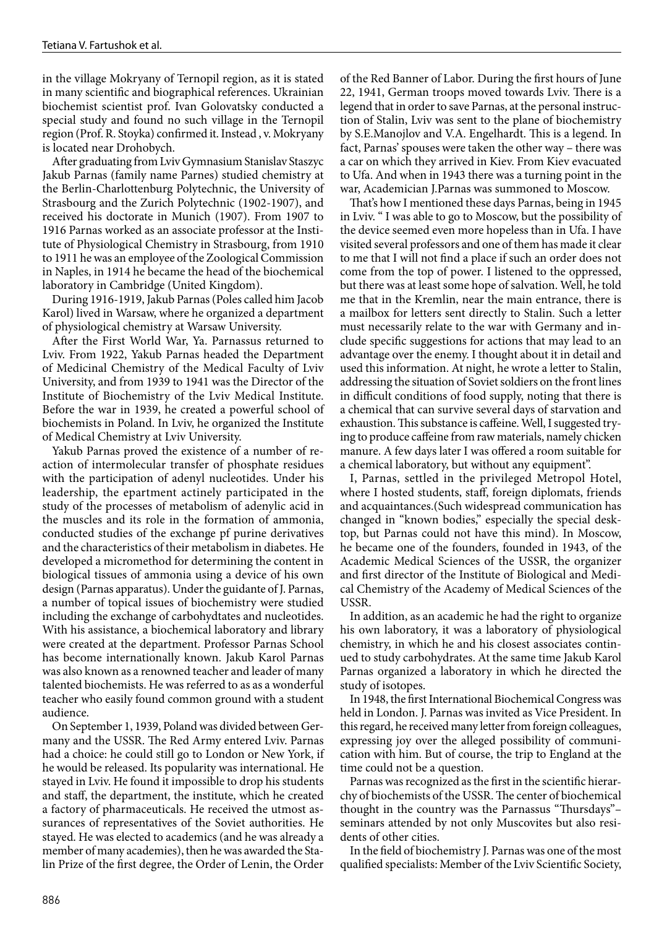in the village Mokryany of Ternopil region, as it is stated in many scientific and biographical references. Ukrainian biochemist scientist prof. Ivan Golovatsky conducted a special study and found no such village in the Ternopil region (Prof. R. Stoyka) confirmed it. Instead , v. Mokryany is located near Drohobych.

After graduating from Lviv Gymnasium Stanislav Staszyc Jakub Parnas (family name Parnes) studied chemistry at the Berlin-Charlottenburg Polytechnic, the University of Strasbourg and the Zurich Polytechnic (1902-1907), and received his doctorate in Munich (1907). From 1907 to 1916 Parnas worked as an associate professor at the Institute of Physiological Chemistry in Strasbourg, from 1910 to 1911 he was an employee of the Zoological Commission in Naples, in 1914 he became the head of the biochemical laboratory in Cambridge (United Kingdom).

During 1916-1919, Jakub Parnas (Poles called him Jacob Karol) lived in Warsaw, where he organized a department of physiological chemistry at Warsaw University.

After the First World War, Ya. Parnassus returned to Lviv. From 1922, Yakub Parnas headed the Department of Medicinal Chemistry of the Medical Faculty of Lviv University, and from 1939 to 1941 was the Director of the Institute of Biochemistry of the Lviv Medical Institute. Before the war in 1939, he created a powerful school of biochemists in Poland. In Lviv, he organized the Institute of Medical Chemistry at Lviv University.

Yakub Parnas proved the existence of a number of reaction of intermolecular transfer of phosphate residues with the participation of adenyl nucleotides. Under his leadership, the epartment actinely participated in the study of the processes of metabolism of adenylic acid in the muscles and its role in the formation of ammonia, conducted studies of the exchange pf purine derivatives and the characteristics of their metabolism in diabetes. He developed a micromethod for determining the content in biological tissues of ammonia using a device of his own design (Parnas apparatus). Under the guidante of J. Parnas, a number of topical issues of biochemistry were studied including the exchange of carbohydtates and nucleotides. With his assistance, a biochemical laboratory and library were created at the department. Professor Parnas School has become internationally known. Jakub Karol Parnas was also known as a renowned teacher and leader of many talented biochemists. He was referred to as as a wonderful teacher who easily found common ground with a student audience.

On September 1, 1939, Poland was divided between Germany and the USSR. The Red Army entered Lviv. Parnas had a choice: he could still go to London or New York, if he would be released. Its popularity was international. He stayed in Lviv. He found it impossible to drop his students and staff, the department, the institute, which he created a factory of pharmaceuticals. He received the utmost assurances of representatives of the Soviet authorities. He stayed. He was elected to academics (and he was already a member of many academies), then he was awarded the Stalin Prize of the first degree, the Order of Lenin, the Order of the Red Banner of Labor. During the first hours of June 22, 1941, German troops moved towards Lviv. There is a legend that in order to save Parnas, at the personal instruction of Stalin, Lviv was sent to the plane of biochemistry by S.E.Manojlov and V.A. Engelhardt. This is a legend. In fact, Parnas' spouses were taken the other way – there was a car on which they arrived in Kiev. From Kiev evacuated to Ufa. And when in 1943 there was a turning point in the war, Academician J.Parnas was summoned to Moscow.

That's how I mentioned these days Parnas, being in 1945 in Lviv. " I was able to go to Moscow, but the possibility of the device seemed even more hopeless than in Ufa. I have visited several professors and one of them has made it clear to me that I will not find a place if such an order does not come from the top of power. I listened to the oppressed, but there was at least some hope of salvation. Well, he told me that in the Kremlin, near the main entrance, there is a mailbox for letters sent directly to Stalin. Such a letter must necessarily relate to the war with Germany and include specific suggestions for actions that may lead to an advantage over the enemy. I thought about it in detail and used this information. At night, he wrote a letter to Stalin, addressing the situation of Soviet soldiers on the front lines in difficult conditions of food supply, noting that there is a chemical that can survive several days of starvation and exhaustion. This substance is caffeine. Well, I suggested trying to produce caffeine from raw materials, namely chicken manure. A few days later I was offered a room suitable for a chemical laboratory, but without any equipment".

I, Parnas, settled in the privileged Metropol Hotel, where I hosted students, staff, foreign diplomats, friends and acquaintances.(Such widespread communication has changed in "known bodies," especially the special desktop, but Parnas could not have this mind). In Moscow, he became one of the founders, founded in 1943, of the Academic Medical Sciences of the USSR, the organizer and first director of the Institute of Biological and Medical Chemistry of the Academy of Medical Sciences of the USSR.

In addition, as an academic he had the right to organize his own laboratory, it was a laboratory of physiological chemistry, in which he and his closest associates continued to study carbohydrates. At the same time Jakub Karol Parnas organized a laboratory in which he directed the study of isotopes.

In 1948, the first International Biochemical Congress was held in London. J. Parnas was invited as Vice President. In this regard, he received many letter from foreign colleagues, expressing joy over the alleged possibility of communication with him. But of course, the trip to England at the time could not be a question.

Parnas was recognized as the first in the scientific hierarchy of biochemists of the USSR. The center of biochemical thought in the country was the Parnassus "Thursdays"– seminars attended by not only Muscovites but also residents of other cities.

In the field of biochemistry J. Parnas was one of the most qualified specialists: Member of the Lviv Scientific Society,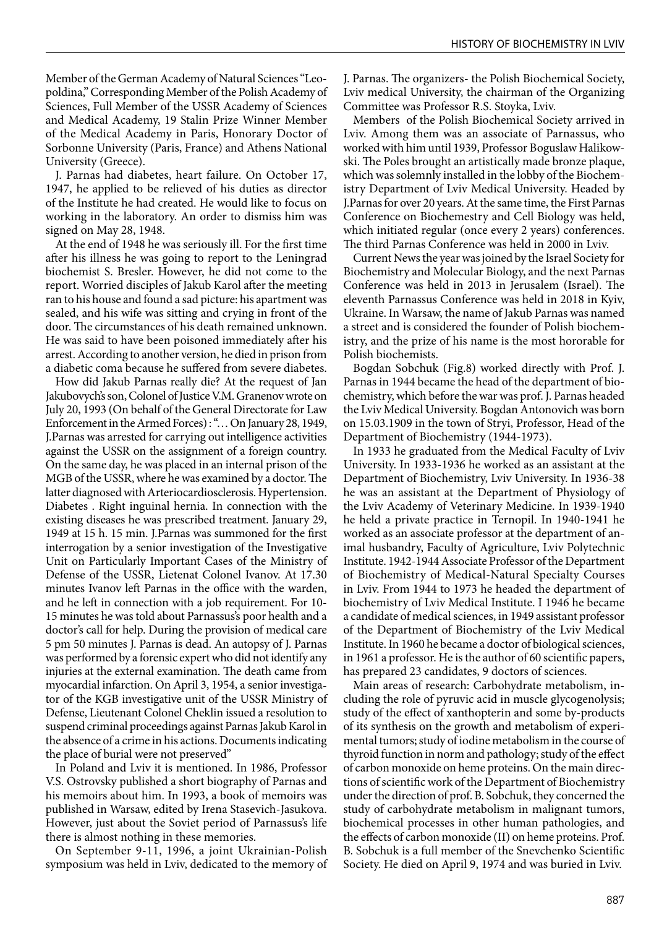Member of the German Academy of Natural Sciences "Leopoldina," Corresponding Member of the Polish Academy of Sciences, Full Member of the USSR Academy of Sciences and Medical Academy, 19 Stalin Prize Winner Member of the Medical Academy in Paris, Honorary Doctor of Sorbonne University (Paris, France) and Athens National University (Greece).

J. Parnas had diabetes, heart failure. On October 17, 1947, he applied to be relieved of his duties as director of the Institute he had created. He would like to focus on working in the laboratory. An order to dismiss him was signed on May 28, 1948.

At the end of 1948 he was seriously ill. For the first time after his illness he was going to report to the Leningrad biochemist S. Bresler. However, he did not come to the report. Worried disciples of Jakub Karol after the meeting ran to his house and found a sad picture: his apartment was sealed, and his wife was sitting and crying in front of the door. The circumstances of his death remained unknown. He was said to have been poisoned immediately after his arrest. According to another version, he died in prison from a diabetic coma because he suffered from severe diabetes.

How did Jakub Parnas really die? At the request of Jan Jakubovych's son, Colonel of Justice V.M. Granenov wrote on July 20, 1993 (On behalf of the General Directorate for Law Enforcement in the Armed Forces) : "… On January 28, 1949, J.Parnas was arrested for carrying out intelligence activities against the USSR on the assignment of a foreign country. On the same day, he was placed in an internal prison of the MGB of the USSR, where he was examined by a doctor. The latter diagnosed with Arteriocardiosclerosis. Hypertension. Diabetes . Right inguinal hernia. In connection with the existing diseases he was prescribed treatment. January 29, 1949 at 15 h. 15 min. J.Parnas was summoned for the first interrogation by a senior investigation of the Investigative Unit on Particularly Important Cases of the Ministry of Defense of the USSR, Lietenat Colonel Ivanov. At 17.30 minutes Ivanov left Parnas in the office with the warden, and he left in connection with a job requirement. For 10- 15 minutes he was told about Parnassus's poor health and a doctor's call for help. During the provision of medical care 5 pm 50 minutes J. Parnas is dead. An autopsy of J. Parnas was performed by a forensic expert who did not identify any injuries at the external examination. The death came from myocardial infarction. On April 3, 1954, a senior investigator of the KGB investigative unit of the USSR Ministry of Defense, Lieutenant Colonel Cheklin issued a resolution to suspend criminal proceedings against Parnas Jakub Karol in the absence of a crime in his actions. Documents indicating the place of burial were not preserved"

In Poland and Lviv it is mentioned. In 1986, Professor V.S. Ostrovsky published a short biography of Parnas and his memoirs about him. In 1993, a book of memoirs was published in Warsaw, edited by Irena Stasevich-Jasukova. However, just about the Soviet period of Parnassus's life there is almost nothing in these memories.

On September 9-11, 1996, a joint Ukrainian-Polish symposium was held in Lviv, dedicated to the memory of J. Parnas. The organizers- the Polish Biochemical Society, Lviv medical University, the chairman of the Organizing Committee was Professor R.S. Stoyka, Lviv.

Members of the Polish Biochemical Society arrived in Lviv. Among them was an associate of Parnassus, who worked with him until 1939, Professor Boguslaw Halikowski. The Poles brought an artistically made bronze plaque, which was solemnly installed in the lobby of the Biochemistry Department of Lviv Medical University. Headed by J.Parnas for over 20 years. At the same time, the First Parnas Conference on Biochemestry and Cell Biology was held, which initiated regular (once every 2 years) conferences. The third Parnas Conference was held in 2000 in Lviv.

Current News the year was joined by the Israel Society for Biochemistry and Molecular Biology, and the next Parnas Conference was held in 2013 in Jerusalem (Israel). The eleventh Parnassus Conference was held in 2018 in Kyiv, Ukraine. In Warsaw, the name of Jakub Parnas was named a street and is considered the founder of Polish biochemistry, and the prize of his name is the most hororable for Polish biochemists.

Bogdan Sobchuk (Fig.8) worked directly with Prof. J. Parnas in 1944 became the head of the department of biochemistry, which before the war was prof. J. Parnas headed the Lviv Medical University. Bogdan Antonovich was born on 15.03.1909 in the town of Stryi, Professor, Head of the Department of Biochemistry (1944-1973).

In 1933 he graduated from the Medical Faculty of Lviv University. In 1933-1936 he worked as an assistant at the Department of Biochemistry, Lviv University. In 1936-38 he was an assistant at the Department of Physiology of the Lviv Academy of Veterinary Medicine. In 1939-1940 he held a private practice in Ternopil. In 1940-1941 he worked as an associate professor at the department of animal husbandry, Faculty of Agriculture, Lviv Polytechnic Institute. 1942-1944 Associate Professor of the Department of Biochemistry of Medical-Natural Specialty Courses in Lviv. From 1944 to 1973 he headed the department of biochemistry of Lviv Medical Institute. I 1946 he became a candidate of medical sciences, in 1949 assistant professor of the Department of Biochemistry of the Lviv Medical Institute. In 1960 he became a doctor of biological sciences, in 1961 a professor. He is the author of 60 scientific papers, has prepared 23 candidates, 9 doctors of sciences.

Main areas of research: Carbohydrate metabolism, including the role of pyruvic acid in muscle glycogenolysis; study of the effect of xanthopterin and some by-products of its synthesis on the growth and metabolism of experimental tumors; study of iodine metabolism in the course of thyroid function in norm and pathology; study of the effect of carbon monoxide on heme proteins. On the main directions of scientific work of the Department of Biochemistry under the direction of prof. B. Sobchuk, they concerned the study of carbohydrate metabolism in malignant tumors, biochemical processes in other human pathologies, and the effects of carbon monoxide (II) on heme proteins. Prof. B. Sobchuk is a full member of the Snevchenko Scientific Society. He died on April 9, 1974 and was buried in Lviv.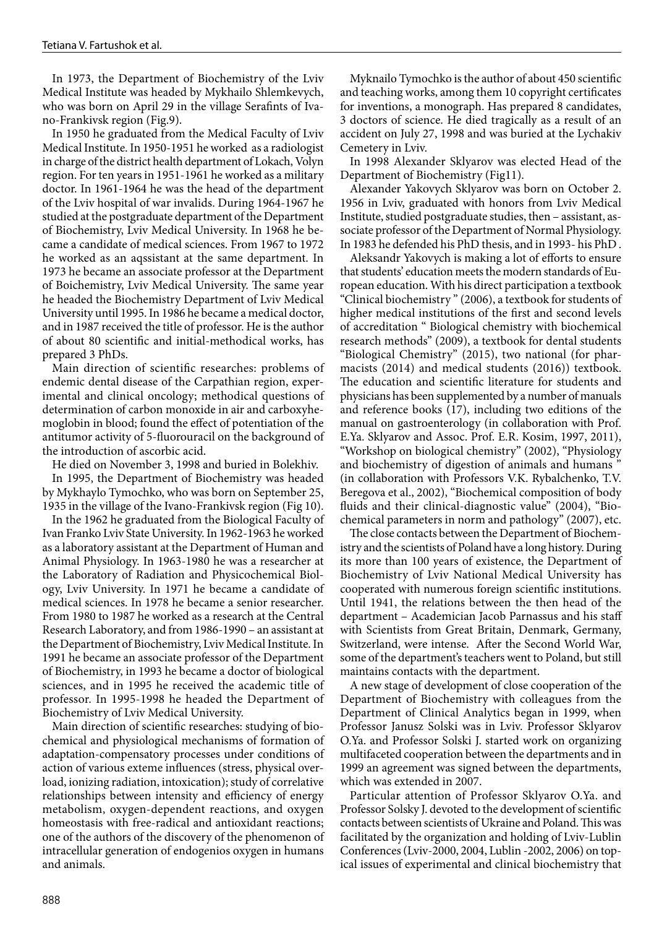In 1973, the Department of Biochemistry of the Lviv Medical Institute was headed by Mykhailo Shlemkevych, who was born on April 29 in the village Serafints of Ivano-Frankivsk region (Fig.9).

In 1950 he graduated from the Medical Faculty of Lviv Medical Institute. In 1950-1951 he worked as a radiologist in charge of the district health department of Lokach, Volyn region. For ten years in 1951-1961 he worked as a military doctor. In 1961-1964 he was the head of the department of the Lviv hospital of war invalids. During 1964-1967 he studied at the postgraduate department of the Department of Biochemistry, Lviv Medical University. In 1968 he became a candidate of medical sciences. From 1967 to 1972 he worked as an aqssistant at the same department. In 1973 he became an associate professor at the Department of Boichemistry, Lviv Medical University. The same year he headed the Biochemistry Department of Lviv Medical University until 1995. In 1986 he became a medical doctor, and in 1987 received the title of professor. He is the author of about 80 scientific and initial-methodical works, has prepared 3 PhDs.

Main direction of scientific researches: problems of endemic dental disease of the Carpathian region, experimental and clinical oncology; methodical questions of determination of carbon monoxide in air and carboxyhemoglobin in blood; found the effect of potentiation of the antitumor activity of 5-fluorouracil on the background of the introduction of ascorbic acid.

He died on November 3, 1998 and buried in Bolekhiv.

In 1995, the Department of Biochemistry was headed by Mykhaylo Tymochko, who was born on September 25, 1935 in the village of the Ivano-Frankivsk region (Fig 10).

In the 1962 he graduated from the Biological Faculty of Ivan Franko Lviv State University. In 1962-1963 he worked as a laboratory assistant at the Department of Human and Animal Physiology. In 1963-1980 he was a researcher at the Laboratory of Radiation and Physicochemical Biology, Lviv University. In 1971 he became a candidate of medical sciences. In 1978 he became a senior researcher. From 1980 to 1987 he worked as a research at the Central Research Laboratory, and from 1986-1990 – an assistant at the Department of Biochemistry, Lviv Medical Institute. In 1991 he became an associate professor of the Department of Biochemistry, in 1993 he became a doctor of biological sciences, and in 1995 he received the academic title of professor. In 1995-1998 he headed the Department of Biochemistry of Lviv Medical University.

Main direction of scientific researches: studying of biochemical and physiological mechanisms of formation of adaptation-compensatory processes under conditions of action of various exteme influences (stress, physical overload, ionizing radiation, intoxication); study of correlative relationships between intensity and efficiency of energy metabolism, oxygen-dependent reactions, and oxygen homeostasis with free-radical and antioxidant reactions; one of the authors of the discovery of the phenomenon of intracellular generation of endogenios oxygen in humans and animals.

Myknailo Tymochko is the author of about 450 scientific and teaching works, among them 10 copyright certificates for inventions, a monograph. Has prepared 8 candidates, 3 doctors of science. He died tragically as a result of an accident on July 27, 1998 and was buried at the Lychakiv Cemetery in Lviv.

In 1998 Alexander Sklyarov was elected Head of the Department of Biochemistry (Fig11).

Alexander Yakovych Sklyarov was born on October 2. 1956 in Lviv, graduated with honors from Lviv Medical Institute, studied postgraduate studies, then – assistant, associate professor of the Department of Normal Physiology. In 1983 he defended his PhD thesis, and in 1993- his PhD .

Aleksandr Yakovych is making a lot of efforts to ensure that students' education meets the modern standards of European education. With his direct participation a textbook "Clinical biochemistry " (2006), a textbook for students of higher medical institutions of the first and second levels of accreditation " Biological chemistry with biochemical research methods" (2009), a textbook for dental students "Biological Chemistry" (2015), two national (for pharmacists (2014) and medical students (2016)) textbook. The education and scientific literature for students and physicians has been supplemented by a number of manuals and reference books (17), including two editions of the manual on gastroenterology (in collaboration with Prof. E.Ya. Sklyarov and Assoc. Prof. E.R. Kosim, 1997, 2011), "Workshop on biological chemistry" (2002), "Physiology and biochemistry of digestion of animals and humans ' (in collaboration with Professors V.K. Rybalchenko, T.V. Beregova et al., 2002), "Biochemical composition of body fluids and their clinical-diagnostic value" (2004), "Biochemical parameters in norm and pathology" (2007), etc.

The close contacts between the Department of Biochemistry and the scientists of Poland have a long history. During its more than 100 years of existence, the Department of Biochemistry of Lviv National Medical University has cooperated with numerous foreign scientific institutions. Until 1941, the relations between the then head of the department – Academician Jacob Parnassus and his staff with Scientists from Great Britain, Denmark, Germany, Switzerland, were intense. After the Second World War, some of the department's teachers went to Poland, but still maintains contacts with the department.

A new stage of development of close cooperation of the Department of Biochemistry with colleagues from the Department of Clinical Analytics began in 1999, when Professor Janusz Solski was in Lviv. Professor Sklyarov O.Ya. and Professor Solski J. started work on organizing multifaceted cooperation between the departments and in 1999 an agreement was signed between the departments, which was extended in 2007.

Particular attention of Professor Sklyarov O.Ya. and Professor Solsky J. devoted to the development of scientific contacts between scientists of Ukraine and Poland. This was facilitated by the organization and holding of Lviv-Lublin Conferences (Lviv-2000, 2004, Lublin -2002, 2006) on topical issues of experimental and clinical biochemistry that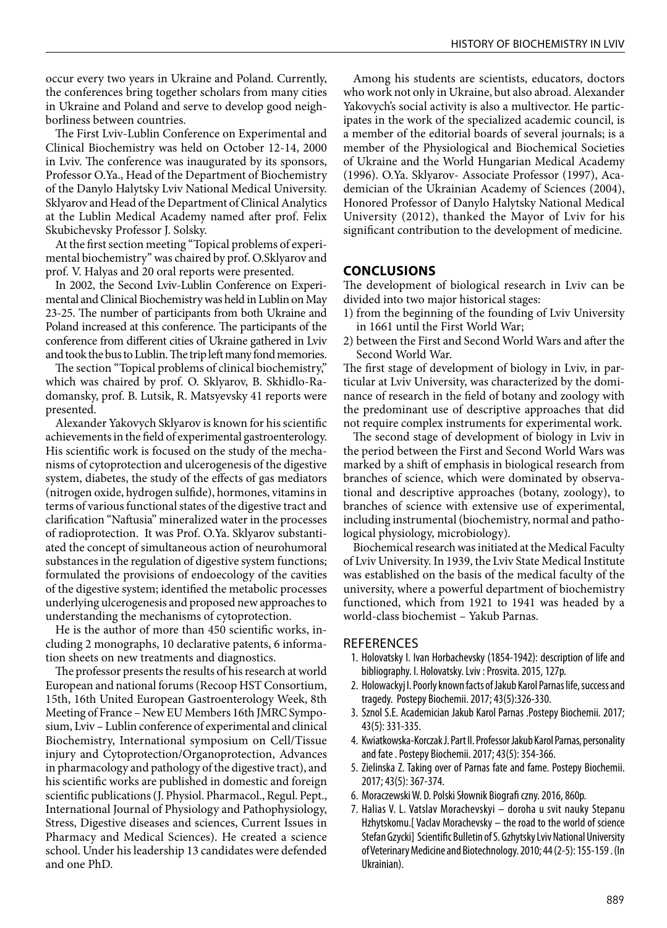occur every two years in Ukraine and Poland. Currently, the conferences bring together scholars from many cities in Ukraine and Poland and serve to develop good neighborliness between countries.

The First Lviv-Lublin Conference on Experimental and Clinical Biochemistry was held on October 12-14, 2000 in Lviv. The conference was inaugurated by its sponsors, Professor O.Ya., Head of the Department of Biochemistry of the Danylo Halytsky Lviv National Medical University. Sklyarov and Head of the Department of Clinical Analytics at the Lublin Medical Academy named after prof. Felix Skubichevsky Professor J. Solsky.

At the first section meeting "Topical problems of experimental biochemistry" was chaired by prof. O.Sklyarov and prof. V. Halyas and 20 oral reports were presented.

In 2002, the Second Lviv-Lublin Conference on Experimental and Clinical Biochemistry was held in Lublin on May 23-25. The number of participants from both Ukraine and Poland increased at this conference. The participants of the conference from different cities of Ukraine gathered in Lviv and took the bus to Lublin. The trip left many fond memories.

The section "Topical problems of clinical biochemistry," which was chaired by prof. O. Sklyarov, B. Skhidlo-Radomansky, prof. B. Lutsik, R. Matsyevsky 41 reports were presented.

Alexander Yakovych Sklyarov is known for his scientific achievements in the field of experimental gastroenterology. His scientific work is focused on the study of the mechanisms of cytoprotection and ulcerogenesis of the digestive system, diabetes, the study of the effects of gas mediators (nitrogen oxide, hydrogen sulfide), hormones, vitamins in terms of various functional states of the digestive tract and clarification "Naftusia" mineralized water in the processes of radioprotection. It was Prof. O.Ya. Sklyarov substantiated the concept of simultaneous action of neurohumoral substances in the regulation of digestive system functions; formulated the provisions of endoecology of the cavities of the digestive system; identified the metabolic processes underlying ulcerogenesis and proposed new approaches to understanding the mechanisms of cytoprotection.

He is the author of more than 450 scientific works, including 2 monographs, 10 declarative patents, 6 information sheets on new treatments and diagnostics.

The professor presents the results of his research at world European and national forums (Recoop HST Consortium, 15th, 16th United European Gastroenterology Week, 8th Meeting of France – New EU Members 16th JMRC Symposium, Lviv – Lublin conference of experimental and clinical Biochemistry, International symposium on Cell/Tissue injury and Cytoprotection/Organoprotection, Advances in pharmacology and pathology of the digestive tract), and his scientific works are published in domestic and foreign scientific publications (J. Physiol. Pharmacol., Regul. Pept., International Journal of Physiology and Pathophysiology, Stress, Digestive diseases and sciences, Current Issues in Pharmacy and Medical Sciences). He created a science school. Under his leadership 13 candidates were defended and one PhD.

Among his students are scientists, educators, doctors who work not only in Ukraine, but also abroad. Alexander Yakovych's social activity is also a multivector. He participates in the work of the specialized academic council, is a member of the editorial boards of several journals; is a member of the Physiological and Biochemical Societies of Ukraine and the World Hungarian Medical Academy (1996). O.Ya. Sklyarov- Associate Professor (1997), Academician of the Ukrainian Academy of Sciences (2004), Honored Professor of Danylo Halytsky National Medical University (2012), thanked the Mayor of Lviv for his significant contribution to the development of medicine.

#### **CONCLUSIONS**

The development of biological research in Lviv can be divided into two major historical stages:

- 1) from the beginning of the founding of Lviv University in 1661 until the First World War;
- 2) between the First and Second World Wars and after the Second World War.

The first stage of development of biology in Lviv, in particular at Lviv University, was characterized by the dominance of research in the field of botany and zoology with the predominant use of descriptive approaches that did not require complex instruments for experimental work.

The second stage of development of biology in Lviv in the period between the First and Second World Wars was marked by a shift of emphasis in biological research from branches of science, which were dominated by observational and descriptive approaches (botany, zoology), to branches of science with extensive use of experimental, including instrumental (biochemistry, normal and pathological physiology, microbiology).

Biochemical research was initiated at the Medical Faculty of Lviv University. In 1939, the Lviv State Medical Institute was established on the basis of the medical faculty of the university, where a powerful department of biochemistry functioned, which from 1921 to 1941 was headed by a world-class biochemist – Yakub Parnas.

#### REFERENCES

- 1. Holovatsky I. Ivan Horbachevsky (1854-1942): description of life and bibliography. I. Holovatsky. Lviv : Prosvita. 2015, 127p.
- 2. Holowackyj I. Poorly known facts of Jakub Karol Parnas life, success and tragedy. Postepy Biochemii. 2017; 43(5):326-330.
- 3. Sznol S.E. Academician Jakub Karol Parnas .Postepy Biochemii. 2017; 43(5): 331-335.
- 4. Kwiatkowska-Korczak J. Part II. Professor Jakub Karol Parnas, personality and fate . Postepy Biochemii. 2017; 43(5): 354-366.
- 5. Zielinska Z. Taking over of Parnas fate and fame. Postepy Biochemii. 2017; 43(5): 367-374.
- 6. Moraczewski W. D. Polski Słownik Biografi czny. 2016, 860p.
- 7. Halias V. L. Vatslav Morachevskyi doroha u svit nauky Stepanu Hzhytskomu.[ Vaclav Morachevsky – the road to the world of science Stefan Gzycki] Scientific Bulletin of S. Gzhytsky Lviv National University of Veterinary Medicine and Biotechnology. 2010; 44 (2-5): 155-159 . (In Ukrainian).